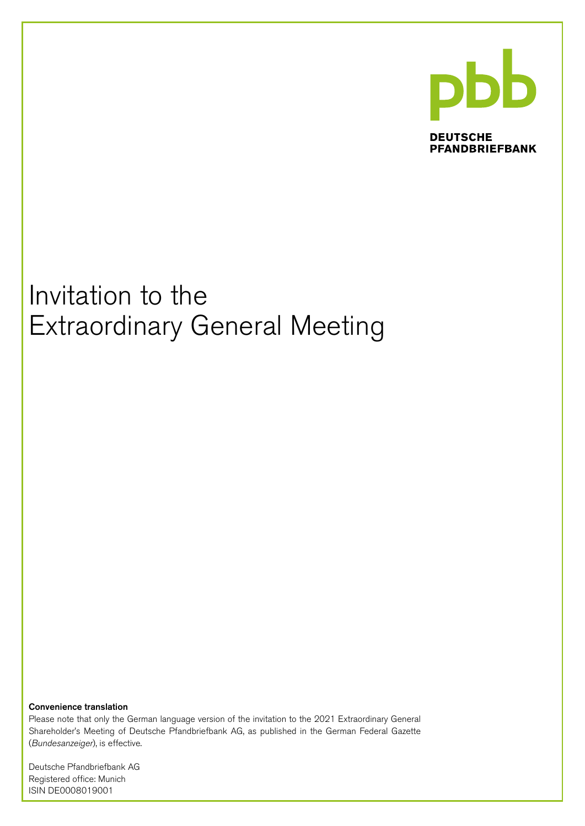

**DEUTSCHE PFANDBRIEFBANK** 

# Invitation to the Extraordinary General Meeting

Convenience translation

Please note that only the German language version of the invitation to the 2021 Extraordinary General Shareholder's Meeting of Deutsche Pfandbriefbank AG, as published in the German Federal Gazette (Bundesanzeiger), is effective.

Deutsche Pfandbriefbank AG Registered office: Munich ISIN DE0008019001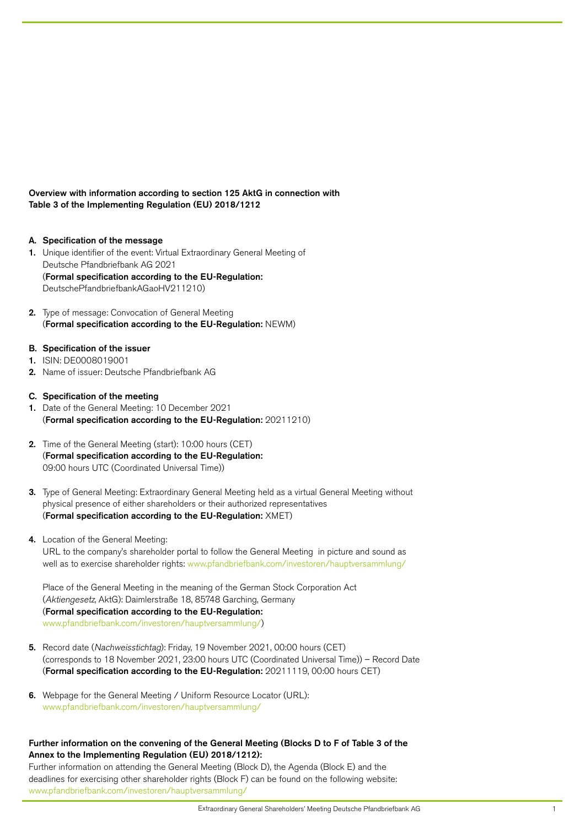Overview with information according to section 125 AktG in connection with Table 3 of the Implementing Regulation (EU) 2018/1212

- A. Specification of the message
- 1. Unique identifier of the event: Virtual Extraordinary General Meeting of Deutsche Pfandbriefbank AG 2021 (Formal specification according to the EU-Regulation: DeutschePfandbriefbankAGaoHV211210)
- 2. Type of message: Convocation of General Meeting (Formal specification according to the EU-Regulation: NEWM)
- B. Specification of the issuer
- 1. ISIN: DE0008019001
- 2. Name of issuer: Deutsche Pfandbriefbank AG
- C. Specification of the meeting
- 1. Date of the General Meeting: 10 December 2021 (Formal specification according to the EU-Regulation: 20211210)
- 2. Time of the General Meeting (start): 10:00 hours (CET) (Formal specification according to the EU-Regulation: 09:00 hours UTC (Coordinated Universal Time))
- 3. Type of General Meeting: Extraordinary General Meeting held as a virtual General Meeting without physical presence of either shareholders or their authorized representatives (Formal specification according to the EU-Regulation: XMET)
- 4. Location of the General Meeting:

URL to the company's shareholder portal to follow the General Meeting in picture and sound as well as to exercise shareholder rights: [www.pfandbriefbank.com/investoren/hauptversammlung/](http://www.pfandbriefbank.com/investoren/hauptversammlung/)

Place of the General Meeting in the meaning of the German Stock Corporation Act (Aktiengesetz, AktG): Daimlerstraße 18, 85748 Garching, Germany (Formal specification according to the EU-Regulation: [www.pfandbriefbank.com/investoren/hauptversammlung/\)](http://www.pfandbriefbank.com/investoren/hauptversammlung/)

- 5. Record date (Nachweisstichtag): Friday, 19 November 2021, 00:00 hours (CET) (corresponds to 18 November 2021, 23:00 hours UTC (Coordinated Universal Time)) – Record Date (Formal specification according to the EU-Regulation: 20211119, 00:00 hours CET)
- 6. Webpage for the General Meeting / Uniform Resource Locator (URL): [www.pfandbriefbank.com/investoren/hauptversammlung/](http://www.pfandbriefbank.com/investoren/hauptversammlung/)

# Further information on the convening of the General Meeting (Blocks D to F of Table 3 of the Annex to the Implementing Regulation (EU) 2018/1212):

Further information on attending the General Meeting (Block D), the Agenda (Block E) and the deadlines for exercising other shareholder rights (Block F) can be found on the following website: [www.pfandbriefbank.com/investoren/hauptversammlung/](http://www.pfandbriefbank.com/investoren/hauptversammlung/)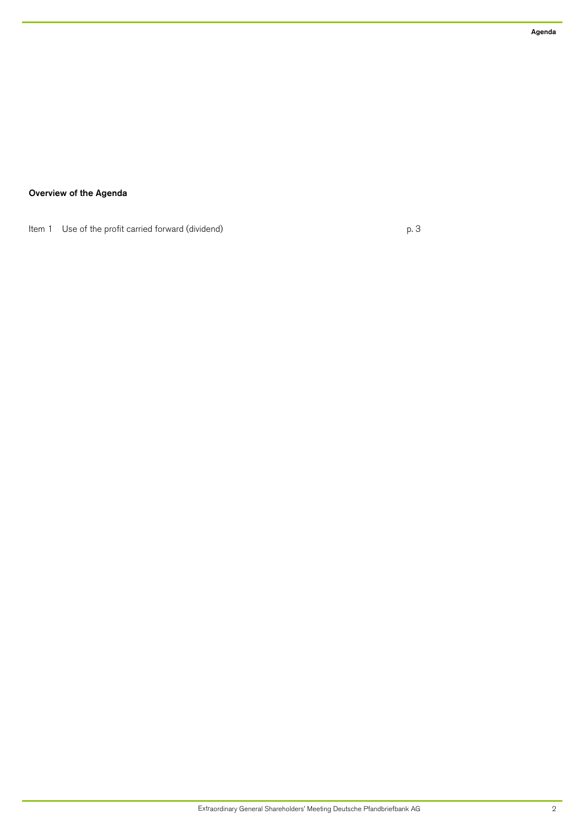# Overview of the Agenda

Item 1 Use of the profit carried forward (dividend) example 2 p. 3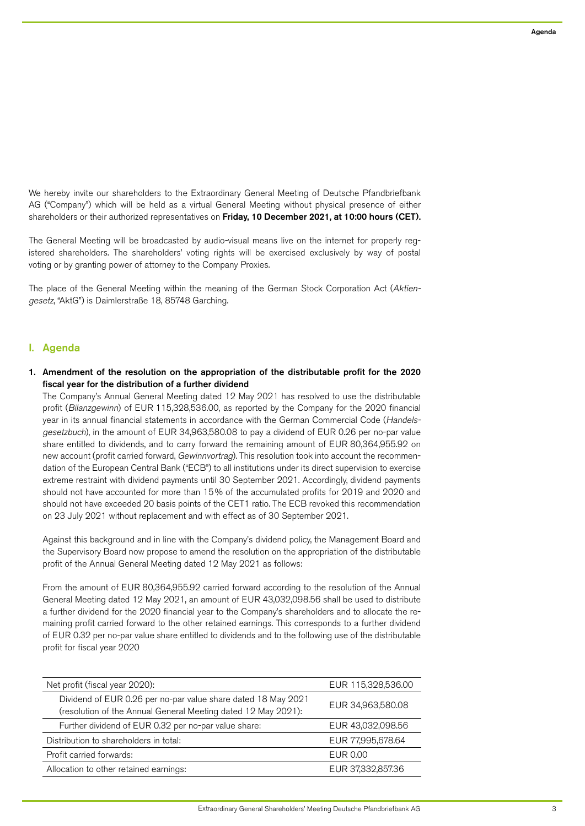We hereby invite our shareholders to the Extraordinary General Meeting of Deutsche Pfandbriefbank AG ("Company") which will be held as a virtual General Meeting without physical presence of either shareholders or their authorized representatives on Friday, 10 December 2021, at 10:00 hours (CET).

The General Meeting will be broadcasted by audio-visual means live on the internet for properly registered shareholders. The shareholders' voting rights will be exercised exclusively by way of postal voting or by granting power of attorney to the Company Proxies.

The place of the General Meeting within the meaning of the German Stock Corporation Act (Aktiengesetz, "AktG") is Daimlerstraße 18, 85748 Garching.

# I. Agenda

# 1. Amendment of the resolution on the appropriation of the distributable profit for the 2020 fiscal year for the distribution of a further dividend

The Company's Annual General Meeting dated 12 May 2021 has resolved to use the distributable profit (Bilanzgewinn) of EUR 115,328,536.00, as reported by the Company for the 2020 financial year in its annual financial statements in accordance with the German Commercial Code (Handelsgesetzbuch), in the amount of EUR 34,963,580.08 to pay a dividend of EUR 0.26 per no-par value share entitled to dividends, and to carry forward the remaining amount of EUR 80,364,955.92 on new account (profit carried forward, Gewinnvortrag). This resolution took into account the recommendation of the European Central Bank ("ECB") to all institutions under its direct supervision to exercise extreme restraint with dividend payments until 30 September 2021. Accordingly, dividend payments should not have accounted for more than 15% of the accumulated profits for 2019 and 2020 and should not have exceeded 20 basis points of the CET1 ratio. The ECB revoked this recommendation on 23 July 2021 without replacement and with effect as of 30 September 2021.

Against this background and in line with the Company's dividend policy, the Management Board and the Supervisory Board now propose to amend the resolution on the appropriation of the distributable profit of the Annual General Meeting dated 12 May 2021 as follows:

From the amount of EUR 80,364,955.92 carried forward according to the resolution of the Annual General Meeting dated 12 May 2021, an amount of EUR 43,032,098.56 shall be used to distribute a further dividend for the 2020 financial year to the Company's shareholders and to allocate the remaining profit carried forward to the other retained earnings. This corresponds to a further dividend of EUR 0.32 per no-par value share entitled to dividends and to the following use of the distributable profit for fiscal year 2020

| Net profit (fiscal year 2020):                                                                                                 | EUR 115,328,536.00 |
|--------------------------------------------------------------------------------------------------------------------------------|--------------------|
| Dividend of EUR 0.26 per no-par value share dated 18 May 2021<br>(resolution of the Annual General Meeting dated 12 May 2021): | EUR 34,963,580.08  |
| Further dividend of EUR 0.32 per no-par value share:                                                                           | EUR 43,032,098.56  |
| Distribution to shareholders in total:                                                                                         | EUR 77,995,678.64  |
| Profit carried forwards:                                                                                                       | EUR 0.00           |
| Allocation to other retained earnings:                                                                                         | EUR 37,332,857.36  |
|                                                                                                                                |                    |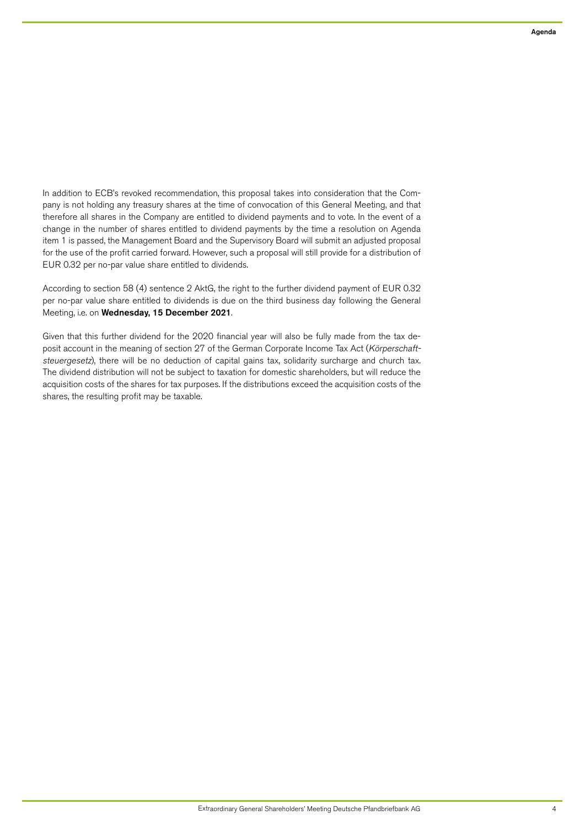In addition to ECB's revoked recommendation, this proposal takes into consideration that the Company is not holding any treasury shares at the time of convocation of this General Meeting, and that therefore all shares in the Company are entitled to dividend payments and to vote. In the event of a change in the number of shares entitled to dividend payments by the time a resolution on Agenda item 1 is passed, the Management Board and the Supervisory Board will submit an adjusted proposal for the use of the profit carried forward. However, such a proposal will still provide for a distribution of EUR 0.32 per no-par value share entitled to dividends.

According to section 58 (4) sentence 2 AktG, the right to the further dividend payment of EUR 0.32 per no-par value share entitled to dividends is due on the third business day following the General Meeting, i.e. on Wednesday, 15 December 2021.

Given that this further dividend for the 2020 financial year will also be fully made from the tax deposit account in the meaning of section 27 of the German Corporate Income Tax Act (Körperschaftsteuergesetz), there will be no deduction of capital gains tax, solidarity surcharge and church tax. The dividend distribution will not be subject to taxation for domestic shareholders, but will reduce the acquisition costs of the shares for tax purposes. If the distributions exceed the acquisition costs of the shares, the resulting profit may be taxable.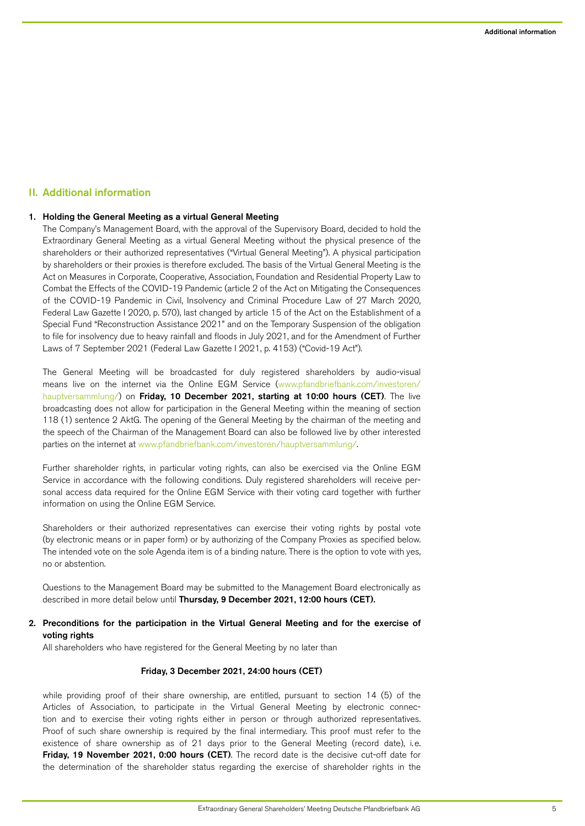# II. Additional information

## 1. Holding the General Meeting as a virtual General Meeting

The Company's Management Board, with the approval of the Supervisory Board, decided to hold the Extraordinary General Meeting as a virtual General Meeting without the physical presence of the shareholders or their authorized representatives ("Virtual General Meeting"). A physical participation by shareholders or their proxies is therefore excluded. The basis of the Virtual General Meeting is the Act on Measures in Corporate, Cooperative, Association, Foundation and Residential Property Law to Combat the Effects of the COVID-19 Pandemic (article 2 of the Act on Mitigating the Consequences of the COVID-19 Pandemic in Civil, Insolvency and Criminal Procedure Law of 27 March 2020, Federal Law Gazette I 2020, p. 570), last changed by article 15 of the Act on the Establishment of a Special Fund "Reconstruction Assistance 2021" and on the Temporary Suspension of the obligation to file for insolvency due to heavy rainfall and floods in July 2021, and for the Amendment of Further Laws of 7 September 2021 (Federal Law Gazette I 2021, p. 4153) ("Covid-19 Act").

The General Meeting will be broadcasted for duly registered shareholders by audio-visual means live on the internet via the Online EGM Service [\(www.pfandbriefbank.com/investoren/](http://www.pfandbriefbank.com/investoren/hauptversammlung/) [hauptversammlung/\)](http://www.pfandbriefbank.com/investoren/hauptversammlung/) on Friday, 10 December 2021, starting at 10:00 hours (CET). The live broadcasting does not allow for participation in the General Meeting within the meaning of section 118 (1) sentence 2 AktG. The opening of the General Meeting by the chairman of the meeting and the speech of the Chairman of the Management Board can also be followed live by other interested parties on the internet at [www.pfandbriefbank.com/investoren/hauptversammlung/](http://www.pfandbriefbank.com/investoren/hauptversammlung/).

Further shareholder rights, in particular voting rights, can also be exercised via the Online EGM Service in accordance with the following conditions. Duly registered shareholders will receive personal access data required for the Online EGM Service with their voting card together with further information on using the Online EGM Service.

Shareholders or their authorized representatives can exercise their voting rights by postal vote (by electronic means or in paper form) or by authorizing of the Company Proxies as specified below. The intended vote on the sole Agenda item is of a binding nature. There is the option to vote with yes, no or abstention.

Questions to the Management Board may be submitted to the Management Board electronically as described in more detail below until Thursday, 9 December 2021, 12:00 hours (CET).

# 2. Preconditions for the participation in the Virtual General Meeting and for the exercise of voting rights

All shareholders who have registered for the General Meeting by no later than

## Friday, 3 December 2021, 24:00 hours (CET)

while providing proof of their share ownership, are entitled, pursuant to section 14 (5) of the Articles of Association, to participate in the Virtual General Meeting by electronic connection and to exercise their voting rights either in person or through authorized representatives. Proof of such share ownership is required by the final intermediary. This proof must refer to the existence of share ownership as of 21 days prior to the General Meeting (record date), i.e. Friday, 19 November 2021, 0:00 hours (CET). The record date is the decisive cut-off date for the determination of the shareholder status regarding the exercise of shareholder rights in the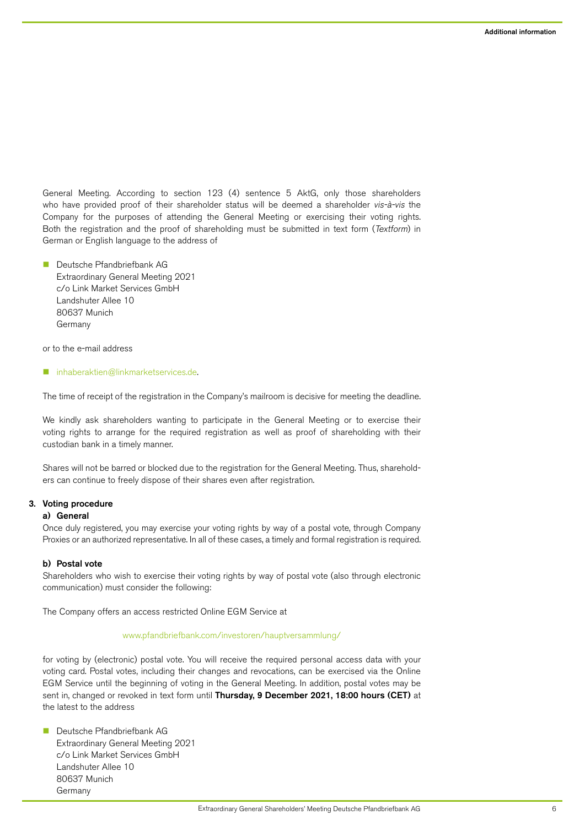General Meeting. According to section 123 (4) sentence 5 AktG, only those shareholders who have provided proof of their shareholder status will be deemed a shareholder vis-à-vis the Company for the purposes of attending the General Meeting or exercising their voting rights. Both the registration and the proof of shareholding must be submitted in text form (Textform) in German or English language to the address of

**n** Deutsche Pfandbriefbank AG Extraordinary General Meeting 2021 c/o Link Market Services GmbH Landshuter Allee 10 80637 Munich Germany

or to the e-mail address

n [inhaberaktien@linkmarketservices.de.](mailto:inhaberaktien%40linkmarketservices.de?subject=)

The time of receipt of the registration in the Company's mailroom is decisive for meeting the deadline.

We kindly ask shareholders wanting to participate in the General Meeting or to exercise their voting rights to arrange for the required registration as well as proof of shareholding with their custodian bank in a timely manner.

Shares will not be barred or blocked due to the registration for the General Meeting. Thus, shareholders can continue to freely dispose of their shares even after registration.

## 3. Voting procedure

## a) General

Once duly registered, you may exercise your voting rights by way of a postal vote, through Company Proxies or an authorized representative. In all of these cases, a timely and formal registration is required.

# b) Postal vote

Shareholders who wish to exercise their voting rights by way of postal vote (also through electronic communication) must consider the following:

The Company offers an access restricted Online EGM Service at

#### [www.pfandbriefbank.com/investoren/hauptversammlung/](http://www.pfandbriefbank.com/investoren/hauptversammlung/)

for voting by (electronic) postal vote. You will receive the required personal access data with your voting card. Postal votes, including their changes and revocations, can be exercised via the Online EGM Service until the beginning of voting in the General Meeting. In addition, postal votes may be sent in, changed or revoked in text form until Thursday, 9 December 2021, 18:00 hours (CET) at the latest to the address

■ Deutsche Pfandbriefbank AG Extraordinary General Meeting 2021 c/o Link Market Services GmbH Landshuter Allee 10 80637 Munich Germany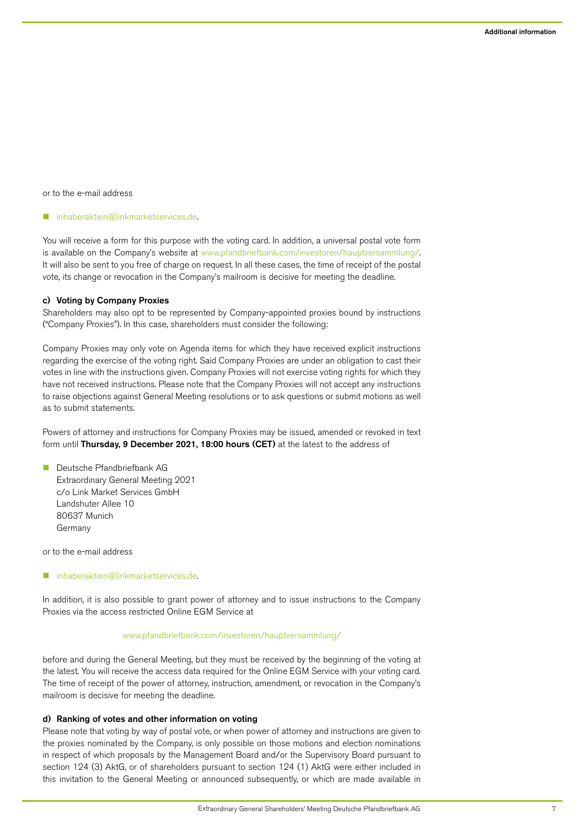or to the e-mail address

#### n [inhaberaktien@linkmarketservices.de.](mailto:inhaberaktien%40linkmarketservices.de?subject=)

You will receive a form for this purpose with the voting card. In addition, a universal postal vote form is available on the Company's website at [www.pfandbriefbank.com/investoren/hauptversammlung/.](http://www.pfandbriefbank.com/investoren/hauptversammlung/) It will also be sent to you free of charge on request. In all these cases, the time of receipt of the postal vote, its change or revocation in the Company's mailroom is decisive for meeting the deadline.

#### c) Voting by Company Proxies

Shareholders may also opt to be represented by Company-appointed proxies bound by instructions ("Company Proxies"). In this case, shareholders must consider the following:

Company Proxies may only vote on Agenda items for which they have received explicit instructions regarding the exercise of the voting right. Said Company Proxies are under an obligation to cast their votes in line with the instructions given. Company Proxies will not exercise voting rights for which they have not received instructions. Please note that the Company Proxies will not accept any instructions to raise objections against General Meeting resolutions or to ask questions or submit motions as well as to submit statements.

Powers of attorney and instructions for Company Proxies may be issued, amended or revoked in text form until Thursday, 9 December 2021, 18:00 hours (CET) at the latest to the address of

■ Deutsche Pfandbriefbank AG Extraordinary General Meeting 2021 c/o Link Market Services GmbH Landshuter Allee 10 80637 Munich Germany

or to the e-mail address

n [inhaberaktien@linkmarketservices.de.](mailto:inhaberaktien%40linkmarketservices.de?subject=)

In addition, it is also possible to grant power of attorney and to issue instructions to the Company Proxies via the access restricted Online EGM Service at

#### [www.pfandbriefbank.com/investoren/hauptversammlung/](http://www.pfandbriefbank.com/investoren/hauptversammlung/)

before and during the General Meeting, but they must be received by the beginning of the voting at the latest. You will receive the access data required for the Online EGM Service with your voting card. The time of receipt of the power of attorney, instruction, amendment, or revocation in the Company's mailroom is decisive for meeting the deadline.

#### d) Ranking of votes and other information on voting

Please note that voting by way of postal vote, or when power of attorney and instructions are given to the proxies nominated by the Company, is only possible on those motions and election nominations in respect of which proposals by the Management Board and/or the Supervisory Board pursuant to section 124 (3) AktG, or of shareholders pursuant to section 124 (1) AktG were either included in this invitation to the General Meeting or announced subsequently, or which are made available in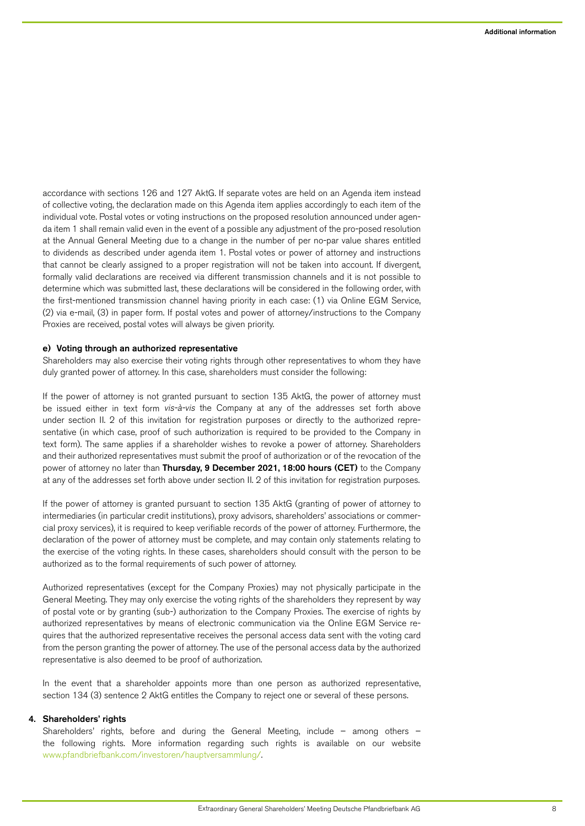accordance with sections 126 and 127 AktG. If separate votes are held on an Agenda item instead of collective voting, the declaration made on this Agenda item applies accordingly to each item of the individual vote. Postal votes or voting instructions on the proposed resolution announced under agenda item 1 shall remain valid even in the event of a possible any adjustment of the pro-posed resolution at the Annual General Meeting due to a change in the number of per no-par value shares entitled to dividends as described under agenda item 1. Postal votes or power of attorney and instructions that cannot be clearly assigned to a proper registration will not be taken into account. If divergent, formally valid declarations are received via different transmission channels and it is not possible to determine which was submitted last, these declarations will be considered in the following order, with the first-mentioned transmission channel having priority in each case: (1) via Online EGM Service, (2) via e-mail, (3) in paper form. If postal votes and power of attorney/instructions to the Company Proxies are received, postal votes will always be given priority.

## e) Voting through an authorized representative

Shareholders may also exercise their voting rights through other representatives to whom they have duly granted power of attorney. In this case, shareholders must consider the following:

If the power of attorney is not granted pursuant to section 135 AktG, the power of attorney must be issued either in text form vis-à-vis the Company at any of the addresses set forth above under section II. 2 of this invitation for registration purposes or directly to the authorized representative (in which case, proof of such authorization is required to be provided to the Company in text form). The same applies if a shareholder wishes to revoke a power of attorney. Shareholders and their authorized representatives must submit the proof of authorization or of the revocation of the power of attorney no later than Thursday, 9 December 2021, 18:00 hours (CET) to the Company at any of the addresses set forth above under section II. 2 of this invitation for registration purposes.

If the power of attorney is granted pursuant to section 135 AktG (granting of power of attorney to intermediaries (in particular credit institutions), proxy advisors, shareholders' associations or commercial proxy services), it is required to keep verifiable records of the power of attorney. Furthermore, the declaration of the power of attorney must be complete, and may contain only statements relating to the exercise of the voting rights. In these cases, shareholders should consult with the person to be authorized as to the formal requirements of such power of attorney.

Authorized representatives (except for the Company Proxies) may not physically participate in the General Meeting. They may only exercise the voting rights of the shareholders they represent by way of postal vote or by granting (sub-) authorization to the Company Proxies. The exercise of rights by authorized representatives by means of electronic communication via the Online EGM Service requires that the authorized representative receives the personal access data sent with the voting card from the person granting the power of attorney. The use of the personal access data by the authorized representative is also deemed to be proof of authorization.

In the event that a shareholder appoints more than one person as authorized representative, section 134 (3) sentence 2 AktG entitles the Company to reject one or several of these persons.

## 4. Shareholders' rights

Shareholders' rights, before and during the General Meeting, include – among others – the following rights. More information regarding such rights is available on our website [www.pfandbriefbank.com/investoren/hauptversammlung](http://www.pfandbriefbank.com/investoren/hauptversammlung/)/.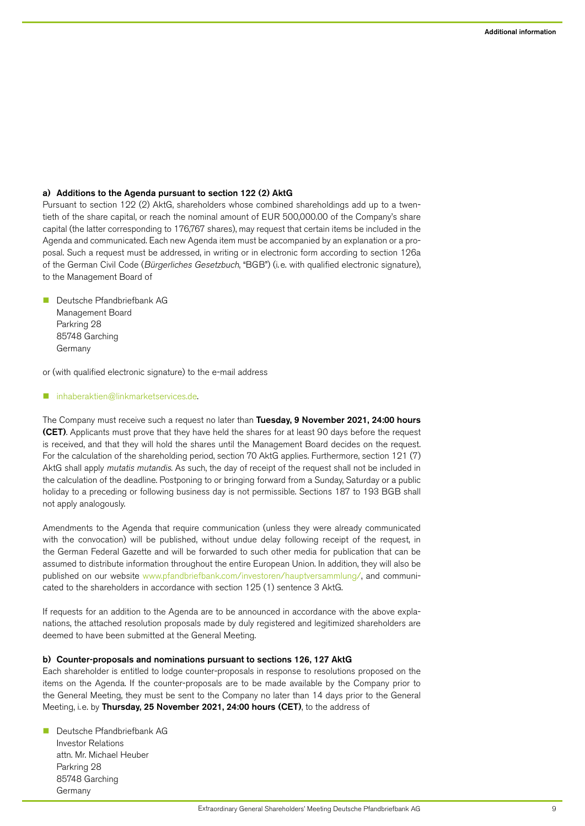# a) Additions to the Agenda pursuant to section 122 (2) AktG

Pursuant to section 122 (2) AktG, shareholders whose combined shareholdings add up to a twentieth of the share capital, or reach the nominal amount of EUR 500,000.00 of the Company's share capital (the latter corresponding to 176,767 shares), may request that certain items be included in the Agenda and communicated. Each new Agenda item must be accompanied by an explanation or a proposal. Such a request must be addressed, in writing or in electronic form according to section 126a of the German Civil Code (Bürgerliches Gesetzbuch, "BGB") (i.e. with qualified electronic signature), to the Management Board of

■ Deutsche Pfandbriefbank AG Management Board Parkring 28 85748 Garching Germany

or (with qualified electronic signature) to the e-mail address

#### [inhaberaktien@linkmarketservices.de.](mailto:inhaberaktien%40linkmarketservices.de?subject=)

The Company must receive such a request no later than Tuesday, 9 November 2021, 24:00 hours (CET). Applicants must prove that they have held the shares for at least 90 days before the request is received, and that they will hold the shares until the Management Board decides on the request. For the calculation of the shareholding period, section 70 AktG applies. Furthermore, section 121 (7) AktG shall apply mutatis mutandis. As such, the day of receipt of the request shall not be included in the calculation of the deadline. Postponing to or bringing forward from a Sunday, Saturday or a public holiday to a preceding or following business day is not permissible. Sections 187 to 193 BGB shall not apply analogously.

Amendments to the Agenda that require communication (unless they were already communicated with the convocation) will be published, without undue delay following receipt of the request, in the German Federal Gazette and will be forwarded to such other media for publication that can be assumed to distribute information throughout the entire European Union. In addition, they will also be published on our website [www.pfandbriefbank.com/investoren/hauptversammlung/,](http://www.pfandbriefbank.com/investoren/hauptversammlung/) and communicated to the shareholders in accordance with section 125 (1) sentence 3 AktG.

If requests for an addition to the Agenda are to be announced in accordance with the above explanations, the attached resolution proposals made by duly registered and legitimized shareholders are deemed to have been submitted at the General Meeting.

#### b) Counter-proposals and nominations pursuant to sections 126, 127 AktG

Each shareholder is entitled to lodge counter-proposals in response to resolutions proposed on the items on the Agenda. If the counter-proposals are to be made available by the Company prior to the General Meeting, they must be sent to the Company no later than 14 days prior to the General Meeting, i.e. by Thursday, 25 November 2021, 24:00 hours (CET), to the address of

■ Deutsche Pfandbriefbank AG Investor Relations attn. Mr. Michael Heuber Parkring 28 85748 Garching Germany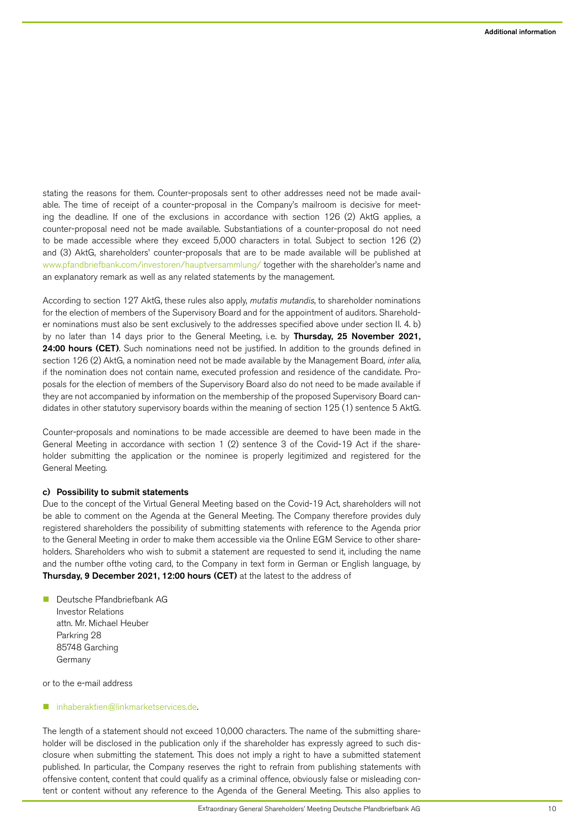stating the reasons for them. Counter-proposals sent to other addresses need not be made available. The time of receipt of a counter-proposal in the Company's mailroom is decisive for meeting the deadline. If one of the exclusions in accordance with section 126 (2) AktG applies, a counter-proposal need not be made available. Substantiations of a counter-proposal do not need to be made accessible where they exceed 5,000 characters in total. Subject to section 126 (2) and (3) AktG, shareholders' counter-proposals that are to be made available will be published at [www.pfandbriefbank.com/investoren/hauptversammlung/](http://www.pfandbriefbank.com/investoren/hauptversammlung/) together with the shareholder's name and an explanatory remark as well as any related statements by the management.

According to section 127 AktG, these rules also apply, mutatis mutandis, to shareholder nominations for the election of members of the Supervisory Board and for the appointment of auditors. Shareholder nominations must also be sent exclusively to the addresses specified above under section II. 4. b) by no later than 14 days prior to the General Meeting, i.e. by Thursday, 25 November 2021, 24:00 hours (CET). Such nominations need not be justified. In addition to the grounds defined in section 126 (2) AktG, a nomination need not be made available by the Management Board, inter alia, if the nomination does not contain name, executed profession and residence of the candidate. Proposals for the election of members of the Supervisory Board also do not need to be made available if they are not accompanied by information on the membership of the proposed Supervisory Board candidates in other statutory supervisory boards within the meaning of section 125 (1) sentence 5 AktG.

Counter-proposals and nominations to be made accessible are deemed to have been made in the General Meeting in accordance with section 1 (2) sentence 3 of the Covid-19 Act if the shareholder submitting the application or the nominee is properly legitimized and registered for the General Meeting.

#### c) Possibility to submit statements

Due to the concept of the Virtual General Meeting based on the Covid-19 Act, shareholders will not be able to comment on the Agenda at the General Meeting. The Company therefore provides duly registered shareholders the possibility of submitting statements with reference to the Agenda prior to the General Meeting in order to make them accessible via the Online EGM Service to other shareholders. Shareholders who wish to submit a statement are requested to send it, including the name and the number ofthe voting card, to the Company in text form in German or English language, by Thursday, 9 December 2021, 12:00 hours (CET) at the latest to the address of

n Deutsche Pfandbriefbank AG Investor Relations attn. Mr. Michael Heuber Parkring 28 85748 Garching Germany

or to the e-mail address

## [inhaberaktien@linkmarketservices.de.](mailto:inhaberaktien%40linkmarketservices.de?subject=)

The length of a statement should not exceed 10,000 characters. The name of the submitting shareholder will be disclosed in the publication only if the shareholder has expressly agreed to such disclosure when submitting the statement. This does not imply a right to have a submitted statement published. In particular, the Company reserves the right to refrain from publishing statements with offensive content, content that could qualify as a criminal offence, obviously false or misleading content or content without any reference to the Agenda of the General Meeting. This also applies to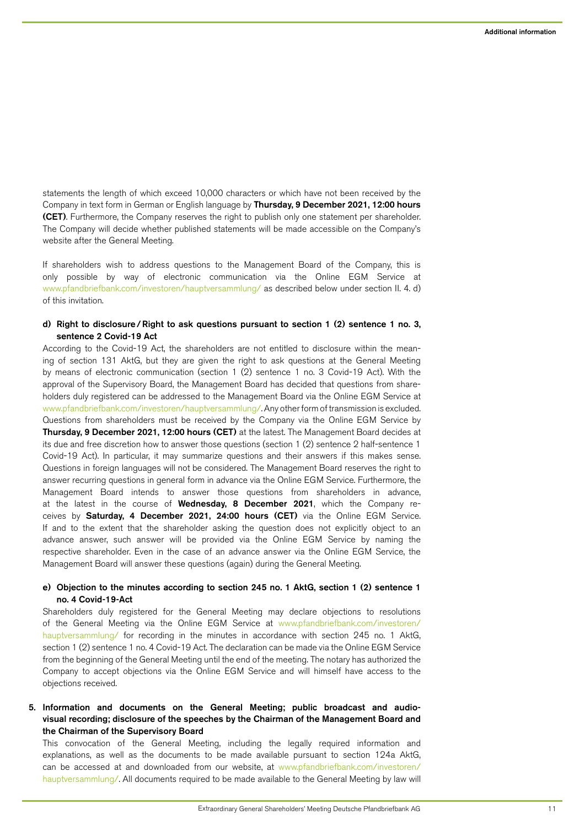statements the length of which exceed 10,000 characters or which have not been received by the Company in text form in German or English language by Thursday, 9 December 2021, 12:00 hours (CET). Furthermore, the Company reserves the right to publish only one statement per shareholder. The Company will decide whether published statements will be made accessible on the Company's website after the General Meeting.

If shareholders wish to address questions to the Management Board of the Company, this is only possible by way of electronic communication via the Online EGM Service at [www.pfandbriefbank.com/investoren/hauptversammlung/](http://www.pfandbriefbank.com/investoren/hauptversammlung/) as described below under section II. 4. d) of this invitation.

# d) Right to disclosure/Right to ask questions pursuant to section 1 (2) sentence 1 no. 3, sentence 2 Covid-19 Act

According to the Covid-19 Act, the shareholders are not entitled to disclosure within the meaning of section 131 AktG, but they are given the right to ask questions at the General Meeting by means of electronic communication (section 1 (2) sentence 1 no. 3 Covid-19 Act). With the approval of the Supervisory Board, the Management Board has decided that questions from shareholders duly registered can be addressed to the Management Board via the Online EGM Service at [www.pfandbriefbank.com/investoren/hauptversammlung/.](http://www.pfandbriefbank.com/investoren/hauptversammlung/) Any other form of transmission is excluded. Questions from shareholders must be received by the Company via the Online EGM Service by Thursday, 9 December 2021, 12:00 hours (CET) at the latest. The Management Board decides at its due and free discretion how to answer those questions (section 1 (2) sentence 2 half-sentence 1 Covid-19 Act). In particular, it may summarize questions and their answers if this makes sense. Questions in foreign languages will not be considered. The Management Board reserves the right to answer recurring questions in general form in advance via the Online EGM Service. Furthermore, the Management Board intends to answer those questions from shareholders in advance, at the latest in the course of Wednesday, 8 December 2021, which the Company receives by Saturday, 4 December 2021, 24:00 hours (CET) via the Online EGM Service. If and to the extent that the shareholder asking the question does not explicitly object to an advance answer, such answer will be provided via the Online EGM Service by naming the respective shareholder. Even in the case of an advance answer via the Online EGM Service, the Management Board will answer these questions (again) during the General Meeting.

# e) Objection to the minutes according to section 245 no. 1 AktG, section 1 (2) sentence 1 no. 4 Covid-19-Act

Shareholders duly registered for the General Meeting may declare objections to resolutions of the General Meeting via the Online EGM Service at [www.pfandbriefbank.com/investoren/](http://www.pfandbriefbank.com/investoren/hauptversammlung/) [hauptversammlung/](http://www.pfandbriefbank.com/investoren/hauptversammlung/) for recording in the minutes in accordance with section 245 no. 1 AktG, section 1 (2) sentence 1 no. 4 Covid-19 Act. The declaration can be made via the Online EGM Service from the beginning of the General Meeting until the end of the meeting. The notary has authorized the Company to accept objections via the Online EGM Service and will himself have access to the objections received.

# 5. Information and documents on the General Meeting; public broadcast and audiovisual recording; disclosure of the speeches by the Chairman of the Management Board and the Chairman of the Supervisory Board

This convocation of the General Meeting, including the legally required information and explanations, as well as the documents to be made available pursuant to section 124a AktG, can be accessed at and downloaded from our website, at [www.pfandbriefbank.com/investoren/](http://www.pfandbriefbank.com/investoren/hauptversammlung/) [hauptversammlung/.](http://www.pfandbriefbank.com/investoren/hauptversammlung/) All documents required to be made available to the General Meeting by law will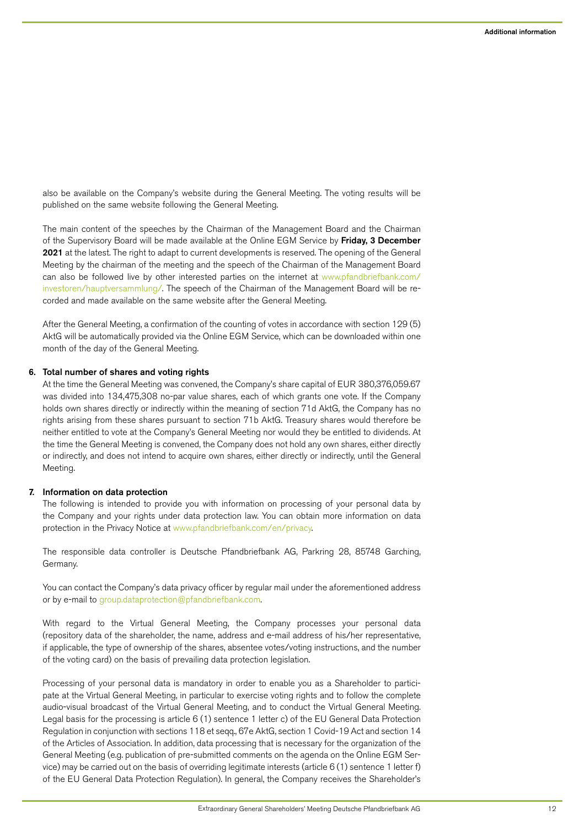also be available on the Company's website during the General Meeting. The voting results will be published on the same website following the General Meeting.

The main content of the speeches by the Chairman of the Management Board and the Chairman of the Supervisory Board will be made available at the Online EGM Service by Friday, 3 December 2021 at the latest. The right to adapt to current developments is reserved. The opening of the General Meeting by the chairman of the meeting and the speech of the Chairman of the Management Board can also be followed live by other interested parties on the internet at [www.pfandbriefbank.com/](http://www.pfandbriefbank.com/investoren/hauptversammlung/) [investoren/hauptversammlung/.](http://www.pfandbriefbank.com/investoren/hauptversammlung/) The speech of the Chairman of the Management Board will be recorded and made available on the same website after the General Meeting.

After the General Meeting, a confirmation of the counting of votes in accordance with section 129 (5) AktG will be automatically provided via the Online EGM Service, which can be downloaded within one month of the day of the General Meeting.

# 6. Total number of shares and voting rights

At the time the General Meeting was convened, the Company's share capital of EUR 380,376,059.67 was divided into 134,475,308 no-par value shares, each of which grants one vote. If the Company holds own shares directly or indirectly within the meaning of section 71d AktG, the Company has no rights arising from these shares pursuant to section 71b AktG. Treasury shares would therefore be neither entitled to vote at the Company's General Meeting nor would they be entitled to dividends. At the time the General Meeting is convened, the Company does not hold any own shares, either directly or indirectly, and does not intend to acquire own shares, either directly or indirectly, until the General Meeting.

## 7. Information on data protection

The following is intended to provide you with information on processing of your personal data by the Company and your rights under data protection law. You can obtain more information on data protection in the Privacy Notice at [www.pfandbriefbank.com/en/privacy](http://www.pfandbriefbank.com/en/privacy).

The responsible data controller is Deutsche Pfandbriefbank AG, Parkring 28, 85748 Garching, Germany.

You can contact the Company's data privacy officer by regular mail under the aforementioned address or by e-mail to [group.dataprotection@pfandbriefbank.com](mailto:group.dataprotection%40pfandbriefbank.com?subject=).

With regard to the Virtual General Meeting, the Company processes your personal data (repository data of the shareholder, the name, address and e-mail address of his/her representative, if applicable, the type of ownership of the shares, absentee votes/voting instructions, and the number of the voting card) on the basis of prevailing data protection legislation.

Processing of your personal data is mandatory in order to enable you as a Shareholder to participate at the Virtual General Meeting, in particular to exercise voting rights and to follow the complete audio-visual broadcast of the Virtual General Meeting, and to conduct the Virtual General Meeting. Legal basis for the processing is article 6 (1) sentence 1 letter c) of the EU General Data Protection Regulation in conjunction with sections 118 et seqq., 67e AktG, section 1 Covid-19 Act and section 14 of the Articles of Association. In addition, data processing that is necessary for the organization of the General Meeting (e.g. publication of pre-submitted comments on the agenda on the Online EGM Service) may be carried out on the basis of overriding legitimate interests (article 6 (1) sentence 1 letter f) of the EU General Data Protection Regulation). In general, the Company receives the Shareholder's